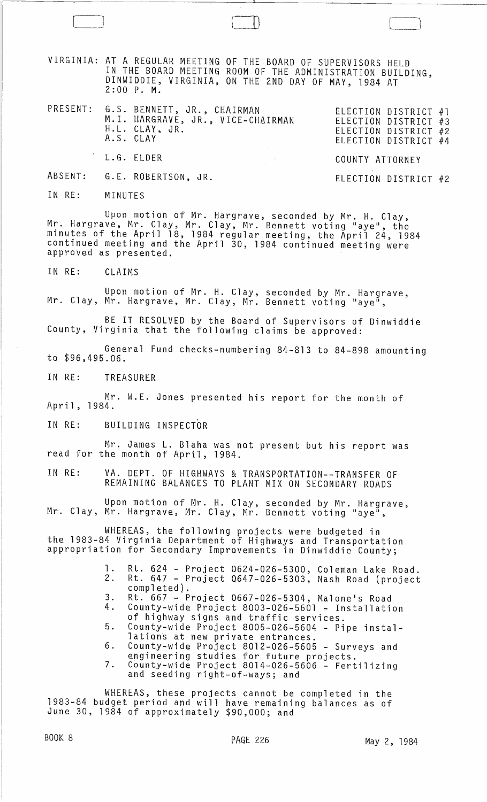VIRGINIA: AT A REGULAR MEETING OF THE BOARD OF SUPERVISORS HELD IN THE BOARD MEETING ROOM OF THE ADMINISTRATION BUILDING, DINWIDDIE, VIRGINIA, ON THE 2ND DAY OF MAY, 1984 AT 2:00 P. M.

PRESENT: G.S. BENNETT, JR., CHAIRMAN<br>M.I. HARGRAVE, JR., VICE-CHAIRMAN<br>H.L. CLAY, JR. ELECTION DISTRICT A.S. CLAY L.G. ELDER COUNTY ATTORNEY ELECTION DISTRICT #1 ELECTION DISTRICT #3 ELECTION DISTRICT #2 ELECTION DISTRICT #4

ABSENT: G.E. ROBERTSON, JR.

IN RE: MINUTES

 $\Box$ 

Upon motion of Mr. Hargrave, seconded by Mr. H. Clay, Mr. Hargrave, Mr. Clay, Mr. Clay, Mr. Bennett voting "aye", the minutes of the April 18, 1984 regular meeting, the April 24, 1984 continued meeting and the April 30, 1984 continued meeting were approved as presented.

IN RE: CLAIMS

Upon motion of Mr. H. Clay, seconded by Mr. Hargrave, Mr. Clay, Mr. Hargrave, Mr. Clay, Mr. Bennett voting "aye",

BE IT RESOLVED by the Board of Supervisors of Dinwiddie County, Virginia that the following claims be approved:

General Fund checks-numbering 84-813 to 84-898 amounting to \$96,495.06.

IN RE: TREASURER

Mr. W.E. Jones presented his report for the month of April, 1984.

IN RE: BUILDING INSPECTOR

Mr. James L. Blaha was not present but his report was read for the month of April, 1984.

IN RE: VA. DEPT. OF HIGHWAYS & TRANSPORTATION--TRANSFER OF REMAINING BALANCES TO PLANT MIX ON SECONDARY ROADS

Upon motion of Mr. H. Clay, seconded by Mr. Hargrave,<br>Mr. Clay, Mr. Hargrave, Mr. Clay, Mr. Bennett voting "aye",

WHEREAS, the following projects were budgeted in the 1983-84 Virginia Department of Highways and Transportation appropriation for Secondary Improvements in Dinwiddie County;

- 1. Rt. 624 Project 0624-026-5300, Coleman Lake Road. 2. Rt. 647 - Project 0647-026-5303, Nash Road (project completed).
- 3. Rt. 667 Project 0667-026-5304, Malone's Road
- 4. County-wide Project 8003-026-5601 Installation of highway signs and traffic services.
- 5. County-wide Project 8005-026-5604 Pipe installations at new private entrances.
- 6. County-wide Project 8012-026-5605 Surveys and engineering studies for future projects.
- 7. County-wide Project 8014-026-5606 Fertilizing and seeding right-of-ways; and

WHEREAS, these projects cannot be completed in the 1983-84 budget period and will have remaining balances as of June 30, 1984 of approximately \$90,000; and

1 I

ELECTION DISTRICT #2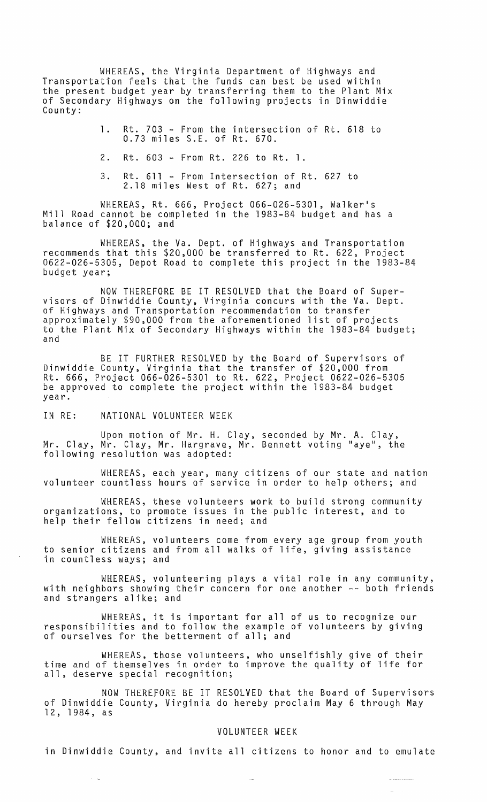WHEREAS, the Virginia Department of Highways and Transportation feels that the funds can best be used within the present budget year by transferring them to the Plant Mix of Secondary Highways on the following projects in Dinwiddie County:

> 1. Rt. 703 - From the intersection of Rt. 618 to 0.73 miles S.E. of Rt. 670.

2. Rt. 603 - From Rt. 226 to Rt. 1.

3. Rt. 611 - From Intersection of Rt. 627 to 2.18 miles West of Rt. 627; and

WHEREAS, Rt. 666, Project 066-026-5301, Walker's Mill Road cannot be completed in the 1983-84 budget and has a balance of \$20,000; and

WHEREAS, the Va. Dept. of Highways and Transportation recommends that this \$20,000 be transferred to Rt. 622, Project 0622-026-5305, Depot Road to complete this project in the 1983-84 budget year;

NOW THEREFORE BE IT RESOLVED that the Board of Supervisors of Dinwiddie County, Virginia concurs with the Va. Dept. of Highways and Transportation recommendation to transfer approximately \$90,000 from the aforementioned list of projects to the Plant Mix of Secondary Highways within the 1983-84 budget;<br>and

BE IT FURTHER RESOLVED by the Board of Supervisors of Dinwiddie County, Virginia that the transfer of \$20,000 from Rt. 666, Project 066-026-5301 to Rt. 622, Project 0622-026-5305 be approved to complete the project within the 1983-84 budget year.

IN RE: NATIONAL VOLUNTEER WEEK

 $\sim$   $\sim$ 

Upon motion of Mr. H. Clay, seconded by Mr. A. Clay, Mr. Clay, Mr. Clay, Mr. Hargrave, Mr. Bennett voting "aye", the following resolution was adopted:

WHEREAS, each year, many citizens of our state and nation volunteer countless hours of service in order to help others; and

WHEREAS, these volunteers work to build strong community organizations, to promote issues in the public interest, and to help their fellow citizens in need; and

WHEREAS, volunteers come from every age group from youth to senior citizens and from all walks of life, giving assistance in countless ways; and

WHEREAS, volunteering plays a vital role in any community, with neighbors showing their concern for one another -- both friends and strangers alike; and

WHEREAS, it is important for all of us to recognize our responsibilities and to follow the example of volunteers by giving of ourselves for the betterment of all; and

WHEREAS, those volunteers, who unselfishly give of their time and of themselves in order to improve the quality of life for all, deserve special recognition;

NOW THEREfORE BE IT RESOLVED that the Board of Supervisors of Dinwiddie County, Virginia do hereby proclaim May 6 through May 12, 1984, as

## VOLUNTEER WEEK

in Dinwiddie County, and invite all citizens to honor and to emulate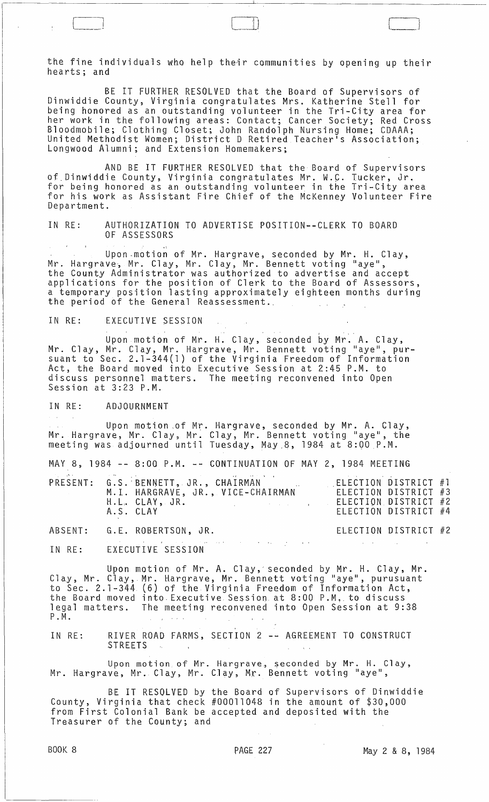the fine individuals who help their communities by opening up their hearts; and

 $\Box$ 

BE IT FURTHER RESOLVED that the Board of Supervisors of Dinwiddie County, Virginia congratulates Mrs. Katherine Stell for being honored as an outstanding volunteer in the Tri-City area for her work in the following areas: Contact; Cancer Society; Red Cross Bloodmobile; Clothing Closet; John Randolph Nursing Home; CDAAA; United Methodist Women; District D Retired Teacher's Association; Longwood Alumni; and Extension Homemakers; .

AND BE IT FURTHER RESOLVED that the Board of Supervisors of Dinwiddie County, Virginia congratulates Mr. W.C. Tucker, Jr. for being honored as an outstanding volunteer in the Tri-City area for his work as Assistant Fire Chief of the McKenney Volunteer Fire Department.

IN RE: AUTHORIZATION TO ADVERTISE POSITION--CLERK TO BOARD OF ASSESSORS

Upon-motion of Mr. Hargrave, seconded by Mr. H. Clay, Mr. Hargrave, Mr. Clay, Mr. Clay, Mr. Bennett voting "aye", the County Administrator was authorized to advertise and accept applications for the position of Clerk to the Board of Assessors, a temporary position lasting approximately eighteen months during the period of the General Reassessment.,

IN RE: EXECUTIVE SESSION

Upon motion of Mr. H. Clay, seconded by Mr. A. Clay, Mr. Clay, Mr. Clay, Mr. Hargrave, Mr. Bennett voting "aye", pursuant to Sec. 2.1-344(1) of the Virginia Freedom of Information Act, the Board moved into Executive Session at 2:45 P.M. to discuss personnel matters. The meeting reconvened into Open Session at 3:23 P.M.

IN RE: ADJOURNMENT

Upon motion of Mr. Hargrave, seconded by Mr. A. Clay, Mr. Hargrave, Mr. Clay, Mr. Clay, Mr. Bennett voting "aye", the meeting was adjourned until Tuesday, May 8, 1984 at 8:00 P.M.

MAY 8, 1984 **--** 8:00 P.M. **--** CONTINUATION OF MAY 2, 1984 MEETING

|  | 医皮肤细胞 机电子 医假白细胞 医中心性 医无心包 医心包 医心包 医心包 医心包 医心包 医心包 医神经性 医心脏病<br>H.L. CLAY, JR.<br>A.S. CLAY | PRESENT: G.S. BENNETT, JR., CHAIRMAN<br>M.I. HARGRAVE, JR., VICE-CHAIRMAN<br>the control of the control of the control of the control of the control of | ELECTION DISTRICT #1<br>ELECTION DISTRICT #2 | ELECTION DISTRICT #3<br>ELECTION DISTRICT #4 |  |
|--|--------------------------------------------------------------------------------------------|---------------------------------------------------------------------------------------------------------------------------------------------------------|----------------------------------------------|----------------------------------------------|--|
|  | ABSENT: G.E. ROBERTSON, JR.                                                                |                                                                                                                                                         |                                              | ELECTION DISTRICT #2                         |  |

 $\delta\lambda$  of the state of the state  $\delta\lambda$  , we can also also the state  $\sim 10^{11}$  km s  $^{-1}$ EXECUTIVE SESSION IN RE:

Upon motion of Mr. A. Clay, seconded by Mr. H. Clay, Mr. Clay, Mr. Clay, Mr. Hargrave, Mr. Bennett voting "aye", purusuant to Sec. 2.1-344 (6) of the Virginia Freedom of Information Act, the Board moved into, Executive. Session at 8:00 P.M" to discuss legal matters. The meeting reconvened into Open Session at 9:38 P • M.

IN RE: RIVER ROAD FARMS, SECTION 2 **--** AGREEMENT TO CONSTRUCT STREETS  $\sim 10$ 

Upon motion of Mr. Hargrave, seconded by Mr. H. Clay, Mr. Hargrave, Mr. Clay, Mr. C.lay, Mr.. Bennett voting "aye",

BE IT RESOLVED by the Board of Supervisors of Dinwiddie County, Virginia that check #00011048 in the amount of \$30,000 from First Colonial Bank be accepted and deposited with the Treasurer of the County; and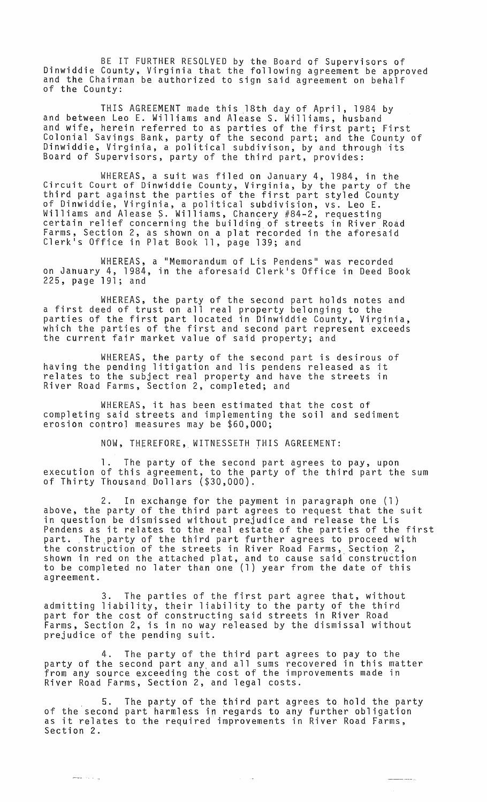BE IT FURTHER RESOLVED by the Board of Supervisors of Dinwiddie County, Virginia that the following agreement be approved and the Chairman be authorized to sign said agreement on behalf of the County:

THIS AGREEMENT made this 18th day of April, 1984 by and between Leo E. Williams and Alease S. Williams, husband and wife, herein referred to as parties of the first part; First Colonial Savings Bank, party of the second part; and the County of Dinwiddie, Virginia, a political subdivison, by and through its Board of Supervisors, party of the third part, provides:

WHEREAS, a suit was filed on January 4, 1984, in the Circuit Court of Dinwiddie County, Virginia, by the party of the third part against the parties of the first part styled County of Dinwiddie, Virginia, a political subdivision, vs. Leo E. Williams and Alease S. Williams, Chancery #84-2, requesting certain relief concerning the building of streets in River Road Farms, Section 2, as shown on a plat recorded in the aforesaid Clerk<sup>i</sup>s Office in Plat Book 11, page 139; and

WHEREAS, a "Memorandum of Lis Pendens" was recorded on January 4, 1984, in the aforesaid Clerk's Office in Deed Book 225, page 191; and

WHEREAS, the party of the second part holds notes and a first deed of trust on all real property belonging to the parties of the first part located in Dinwiddie County, Virginia, parties of the first part rocated in Binwidate county, virginia, the current fair market value of said property; and

WHEREAS, the party of the second part is desirous of having the pending litigation and lis pendens released as it relates to the subject real property and have the streets in River Road Farms, Section 2, completed; and

WHEREAS, it has been estimated that the cost of completing said streets and implementing the soil and sediment erosion contro) measures may be \$60,000;

NOW, THEREFORE, WITNESSETH THIS AGREEMENT:

The party of the second part agrees to pay, upon execution of this agreement, to the party of the third part the sum of Thirty Thousand Dollars (\$30,000).

2. In exchange for the payment in paragraph one (1) above, the party of the third part agrees to request that the suit in question be dismissed without prejudice and release the Lis Pendens as it relates to the real estate of the parties of the first part. ,The,party of the third part further agrees to proceed with the construction of the streets in River Road Farms, Section 2, shown in red on the attached plat, and to cause said' construction to be completed no later than one (1) year from the date of this agreement.

3. The parties of the first part agree that, without admitting liability, their liability to the party of the third part for the cost of constructing said streets in River Road Farms, Section 2, is in no way released by the dismissal without prejudice of the pending suit.

4. The party of the third part agrees to pay to the party of the second part any, and all sums recovered in this matter from any source exceeding the cost of the improvements made in River Road Farms, Section 2, and legal costs.

5. of the'second of the second<br>as it relates Section 2. The party of the third part agrees to hold the party part harmless in regards to any further obligation to the required improvements in River Road Farms,

 $\alpha=1.4$ 

لي المناسبة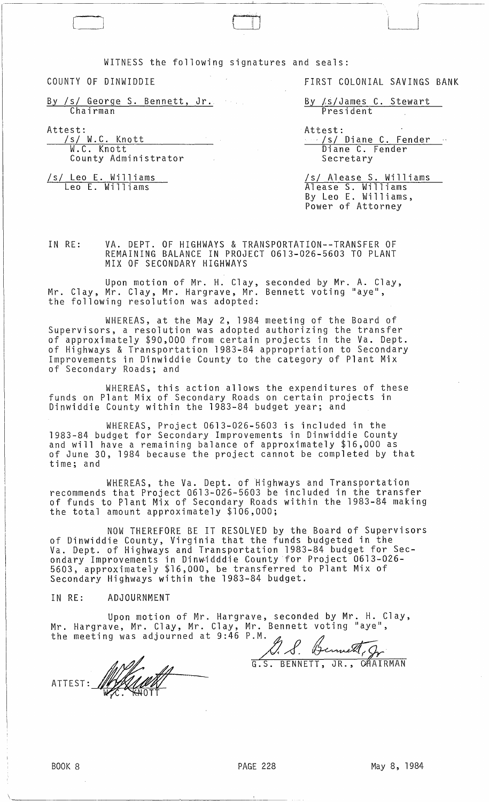WITNESS the following signatures and seals:

COUNTY OF DINWIDDIE

 $\Box$ 

By /s/ George S. Bennett, Jr. Chairman

Attest:

/s/ W.C. Knott W.C. Knott County Administrator

/s/ Leo E. Williams Leo E. Williams

FIRST COLONIAL SAVINGS BANK

By /s/James C. Stewart President

Attest:<br>.../s/ Diane C. Fender Di ane C. Fender Secretary

/s/ Alease S. Williams Alease S. Williams By Leo E. Williams, Power of Attorney

IN RE: VA. DEPT. OF HIGHWAYS & TRANSPORTATION--TRANSFER OF REMAINING BALANCE IN PROJECT 0613-026-5603 TO PLANT MIX OF SECONDARY HIGHWAYS

Upon motion of Mr. H. Clay, seconded by Mr. A. Clay, Mr. Clay, Mr. Clay, Mr. Hargrave, Mr. Bennett voting "aye", the following resolution was adopted:

WHEREAS, at the May 2, 1984 meeting of the Board of SuperVisors, a resolution was adopted authorizing the transfer of approximately \$90,000 from certain projects in the Va. Dept. of Highways & Transportation 1983-84 appropriation to Secondary Improvements in Dinwiddie County to the category of Plant Mix of Secondary Roads; and

WHEREAS, this action allows the expenditures of these funds on Plant Mix of Secondary Roads on certain projects in Dinwiddie County within the 1983-84 budget year; and

WHEREAS, Project 0613-026-5603 is included in the 1983-84 budget for Secondary Improvements in Dinwiddie County and will have a remaining balance of approximately \$16,000 as of June 30, 1984 because the project cannot be completed by that time; and

WHEREAS, the Va. Dept. of Highways and Transportation recommends that Project 0613-026-5603 be included in the transfer of funds to Plant Mix of Secondary Roads within the 1983-84 making the total amount approximately \$106,000;

NOW THEREFORE BE IT RESOLVED by the Board of Supervisors of Dinwiddie County, Virginia that the funds budgeted in the Va. Dept. of Highways and Transportation 1983-84 budget for Secondary Improvements in Dinw~dddie (ountyfor Project 0613-026- 5603, apprOXimately \$16,000, be transferred to Plant Mix of Secondary Highways within the 1983-84 budget.

## IN RE: ADJOURNMENT

1. S. Bennett, gr

G.S. BENNETT, JR., CHAIRMAN